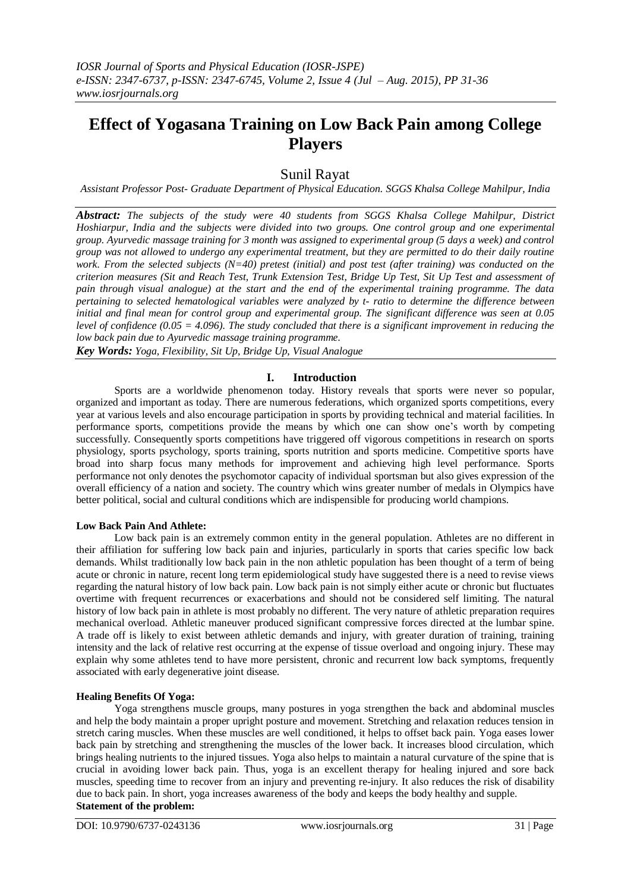# **Effect of Yogasana Training on Low Back Pain among College Players**

# Sunil Rayat

*Assistant Professor Post- Graduate Department of Physical Education. SGGS Khalsa College Mahilpur, India*

*Abstract: The subjects of the study were 40 students from SGGS Khalsa College Mahilpur, District Hoshiarpur, India and the subjects were divided into two groups. One control group and one experimental group. Ayurvedic massage training for 3 month was assigned to experimental group (5 days a week) and control group was not allowed to undergo any experimental treatment, but they are permitted to do their daily routine work. From the selected subjects (N=40) pretest (initial) and post test (after training) was conducted on the criterion measures (Sit and Reach Test, Trunk Extension Test, Bridge Up Test, Sit Up Test and assessment of pain through visual analogue) at the start and the end of the experimental training programme. The data pertaining to selected hematological variables were analyzed by t- ratio to determine the difference between initial and final mean for control group and experimental group. The significant difference was seen at 0.05 level of confidence (0.05 = 4.096). The study concluded that there is a significant improvement in reducing the low back pain due to Ayurvedic massage training programme.*

*Key Words: Yoga, Flexibility, Sit Up, Bridge Up, Visual Analogue*

# **I. Introduction**

Sports are a worldwide phenomenon today. History reveals that sports were never so popular, organized and important as today. There are numerous federations, which organized sports competitions, every year at various levels and also encourage participation in sports by providing technical and material facilities. In performance sports, competitions provide the means by which one can show one"s worth by competing successfully. Consequently sports competitions have triggered off vigorous competitions in research on sports physiology, sports psychology, sports training, sports nutrition and sports medicine. Competitive sports have broad into sharp focus many methods for improvement and achieving high level performance. Sports performance not only denotes the psychomotor capacity of individual sportsman but also gives expression of the overall efficiency of a nation and society. The country which wins greater number of medals in Olympics have better political, social and cultural conditions which are indispensible for producing world champions.

# **Low Back Pain And Athlete:**

Low back pain is an extremely common entity in the general population. Athletes are no different in their affiliation for suffering low back pain and injuries, particularly in sports that caries specific low back demands. Whilst traditionally low back pain in the non athletic population has been thought of a term of being acute or chronic in nature, recent long term epidemiological study have suggested there is a need to revise views regarding the natural history of low back pain. Low back pain is not simply either acute or chronic but fluctuates overtime with frequent recurrences or exacerbations and should not be considered self limiting. The natural history of low back pain in athlete is most probably no different. The very nature of athletic preparation requires mechanical overload. Athletic maneuver produced significant compressive forces directed at the lumbar spine. A trade off is likely to exist between athletic demands and injury, with greater duration of training, training intensity and the lack of relative rest occurring at the expense of tissue overload and ongoing injury. These may explain why some athletes tend to have more persistent, chronic and recurrent low back symptoms, frequently associated with early degenerative joint disease.

# **Healing Benefits Of Yoga:**

Yoga strengthens muscle groups, many postures in yoga strengthen the back and abdominal muscles and help the body maintain a proper upright posture and movement. Stretching and relaxation reduces tension in stretch caring muscles. When these muscles are well conditioned, it helps to offset back pain. Yoga eases lower back pain by stretching and strengthening the muscles of the lower back. It increases blood circulation, which brings healing nutrients to the injured tissues. Yoga also helps to maintain a natural curvature of the spine that is crucial in avoiding lower back pain. Thus, yoga is an excellent therapy for healing injured and sore back muscles, speeding time to recover from an injury and preventing re-injury. It also reduces the risk of disability due to back pain. In short, yoga increases awareness of the body and keeps the body healthy and supple. **Statement of the problem:**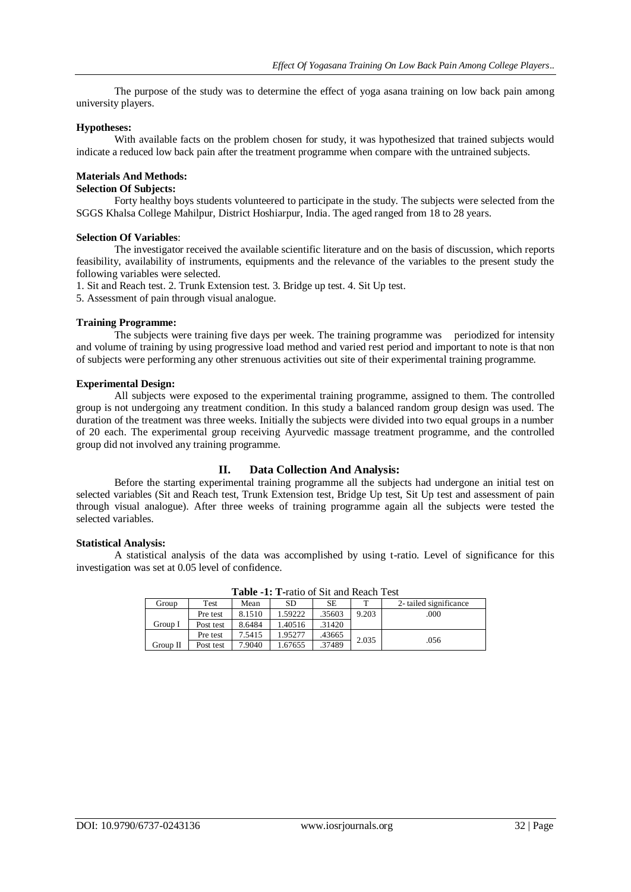The purpose of the study was to determine the effect of yoga asana training on low back pain among university players.

#### **Hypotheses:**

With available facts on the problem chosen for study, it was hypothesized that trained subjects would indicate a reduced low back pain after the treatment programme when compare with the untrained subjects.

### **Materials And Methods:**

### **Selection Of Subjects:**

Forty healthy boys students volunteered to participate in the study. The subjects were selected from the SGGS Khalsa College Mahilpur, District Hoshiarpur, India. The aged ranged from 18 to 28 years.

#### **Selection Of Variables**:

The investigator received the available scientific literature and on the basis of discussion, which reports feasibility, availability of instruments, equipments and the relevance of the variables to the present study the following variables were selected.

1. Sit and Reach test. 2. Trunk Extension test. 3. Bridge up test. 4. Sit Up test.

5. Assessment of pain through visual analogue.

#### **Training Programme:**

The subjects were training five days per week. The training programme was periodized for intensity and volume of training by using progressive load method and varied rest period and important to note is that non of subjects were performing any other strenuous activities out site of their experimental training programme.

#### **Experimental Design:**

All subjects were exposed to the experimental training programme, assigned to them. The controlled group is not undergoing any treatment condition. In this study a balanced random group design was used. The duration of the treatment was three weeks. Initially the subjects were divided into two equal groups in a number of 20 each. The experimental group receiving Ayurvedic massage treatment programme, and the controlled group did not involved any training programme.

#### **II. Data Collection And Analysis:**

Before the starting experimental training programme all the subjects had undergone an initial test on selected variables (Sit and Reach test, Trunk Extension test, Bridge Up test, Sit Up test and assessment of pain through visual analogue). After three weeks of training programme again all the subjects were tested the selected variables.

#### **Statistical Analysis:**

A statistical analysis of the data was accomplished by using t-ratio. Level of significance for this investigation was set at 0.05 level of confidence.

| <b>Table -1: 1 -</b> Tauo of Sit and Reach Test |           |        |         |        |       |                        |  |
|-------------------------------------------------|-----------|--------|---------|--------|-------|------------------------|--|
| Group                                           | Test      | Mean   | SD      | SE     |       | 2- tailed significance |  |
|                                                 | Pre test  | 8.1510 | 1.59222 | .35603 | 9.203 | .000                   |  |
| Group I                                         | Post test | 8.6484 | 1.40516 | .31420 |       |                        |  |
|                                                 | Pre test  | 7.5415 | 1.95277 | .43665 | 2.035 | .056                   |  |
| Group II                                        | Post test | 7.9040 | 1.67655 | .37489 |       |                        |  |

**Table -1: T-**ratio of Sit and Reach Test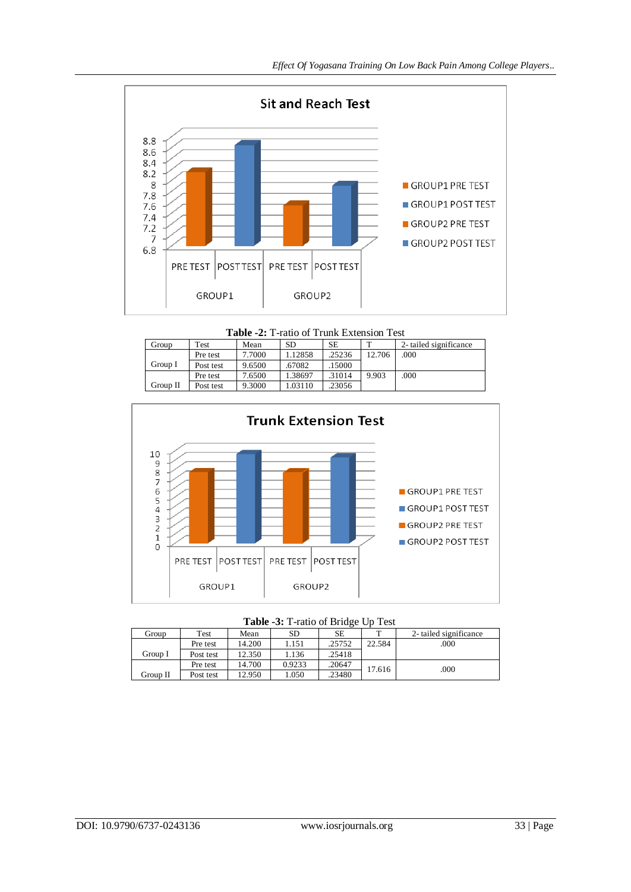

**Table -2:** T-ratio of Trunk Extension Test

| Group    | Test      | Mean   | SD.     | SE     |        | 2- tailed significance |
|----------|-----------|--------|---------|--------|--------|------------------------|
|          | Pre test  | 7.7000 | 1.12858 | .25236 | 12.706 | .000                   |
| Group I  | Post test | 9.6500 | .67082  | 15000  |        |                        |
|          | Pre test  | 7.6500 | 1.38697 | .31014 | 9.903  | .000                   |
| Group II | Post test | 9.3000 | 1.03110 | .23056 |        |                        |



| Group    | Test      | Mean   | SD     | SЕ     |        | 2- tailed significance |  |
|----------|-----------|--------|--------|--------|--------|------------------------|--|
|          | Pre test  | 14.200 | 1.151  | .25752 | 22.584 | .000                   |  |
| Group I  | Post test | 12.350 | 1.136  | .25418 |        |                        |  |
|          | Pre test  | 14.700 | 0.9233 | .20647 | 17.616 | .000                   |  |
| Group II | Post test | 12.950 | .050   | 23480  |        |                        |  |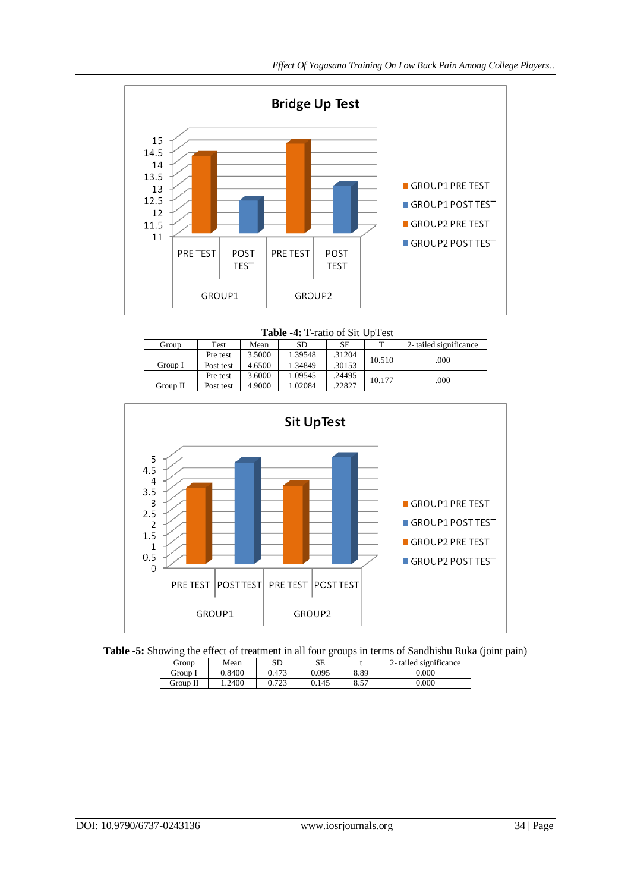

 **Table -4:** T-ratio of Sit UpTest

| Group    | Test      | Mean   | SD      | SE     | m      | 2-tailed significance |
|----------|-----------|--------|---------|--------|--------|-----------------------|
|          | Pre test  | 3.5000 | 1.39548 | .31204 | 10.510 | .000                  |
| Group I  | Post test | 4.6500 | 1.34849 | .30153 |        |                       |
|          | Pre test  | 3.6000 | 1.09545 | .24495 | 10.177 | .000                  |
| Group II | Post test | 4.9000 | 1.02084 | .22827 |        |                       |





| Group    | Mean   | SD    | SЕ    |      | 2- tailed significance |
|----------|--------|-------|-------|------|------------------------|
| Group I  | 0.8400 | 1.473 | ).095 | 8.89 | 0.000                  |
| Group II | .2400  | 723   | J.145 | 8.57 | 0.000                  |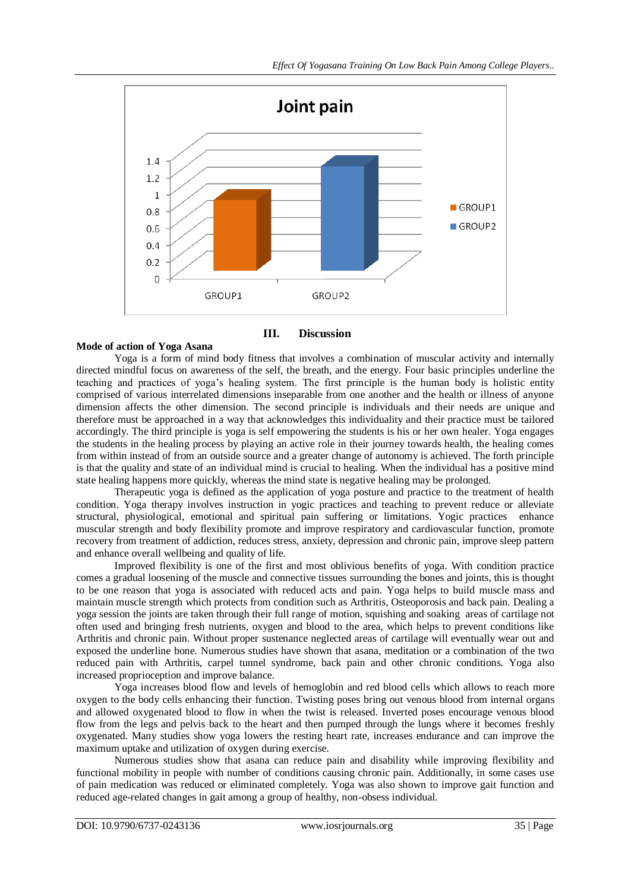

# **Mode of action of Yoga Asana**

**III. Discussion**

Yoga is a form of mind body fitness that involves a combination of muscular activity and internally directed mindful focus on awareness of the self, the breath, and the energy. Four basic principles underline the teaching and practices of yoga"s healing system. The first principle is the human body is holistic entity comprised of various interrelated dimensions inseparable from one another and the health or illness of anyone dimension affects the other dimension. The second principle is individuals and their needs are unique and therefore must be approached in a way that acknowledges this individuality and their practice must be tailored accordingly. The third principle is yoga is self empowering the students is his or her own healer. Yoga engages the students in the healing process by playing an active role in their journey towards health, the healing comes from within instead of from an outside source and a greater change of autonomy is achieved. The forth principle is that the quality and state of an individual mind is crucial to healing. When the individual has a positive mind state healing happens more quickly, whereas the mind state is negative healing may be prolonged.

Therapeutic yoga is defined as the application of yoga posture and practice to the treatment of health condition. Yoga therapy involves instruction in yogic practices and teaching to prevent reduce or alleviate structural, physiological, emotional and spiritual pain suffering or limitations. Yogic practices enhance muscular strength and body flexibility promote and improve respiratory and cardiovascular function, promote recovery from treatment of addiction, reduces stress, anxiety, depression and chronic pain, improve sleep pattern and enhance overall wellbeing and quality of life.

Improved flexibility is one of the first and most oblivious benefits of yoga. With condition practice comes a gradual loosening of the muscle and connective tissues surrounding the bones and joints, this is thought to be one reason that yoga is associated with reduced acts and pain. Yoga helps to build muscle mass and maintain muscle strength which protects from condition such as Arthritis, Osteoporosis and back pain. Dealing a yoga session the joints are taken through their full range of motion, squishing and soaking areas of cartilage not often used and bringing fresh nutrients, oxygen and blood to the area, which helps to prevent conditions like Arthritis and chronic pain. Without proper sustenance neglected areas of cartilage will eventually wear out and exposed the underline bone. Numerous studies have shown that asana, meditation or a combination of the two reduced pain with Arthritis, carpel tunnel syndrome, back pain and other chronic conditions. Yoga also increased proprioception and improve balance.

Yoga increases blood flow and levels of hemoglobin and red blood cells which allows to reach more oxygen to the body cells enhancing their function. Twisting poses bring out venous blood from internal organs and allowed oxygenated blood to flow in when the twist is released. Inverted poses encourage venous blood flow from the legs and pelvis back to the heart and then pumped through the lungs where it becomes freshly oxygenated. Many studies show yoga lowers the resting heart rate, increases endurance and can improve the maximum uptake and utilization of oxygen during exercise.

Numerous studies show that asana can reduce pain and disability while improving flexibility and functional mobility in people with number of conditions causing chronic pain. Additionally, in some cases use of pain medication was reduced or eliminated completely. Yoga was also shown to improve gait function and reduced age-related changes in gait among a group of healthy, non-obsess individual.